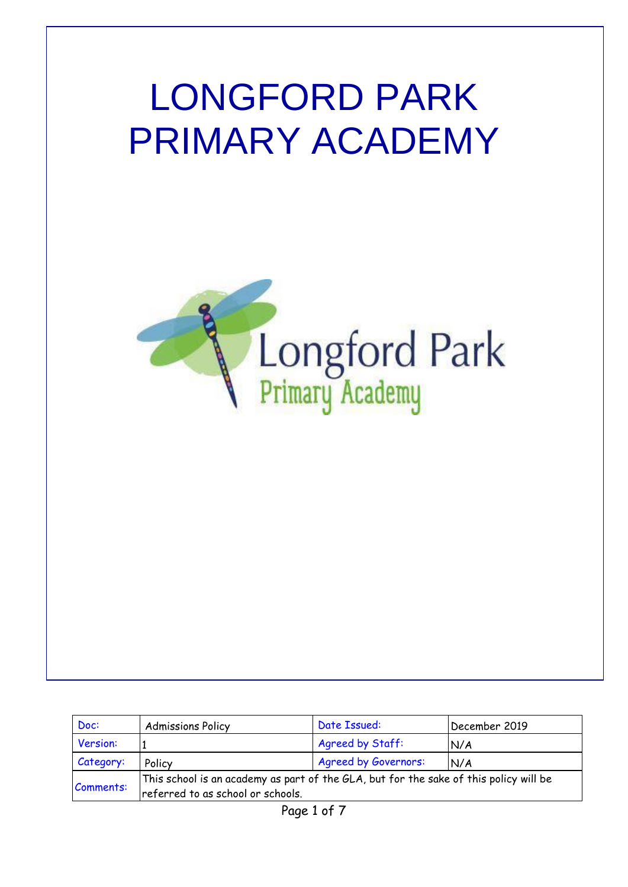# LONGFORD PARK PRIMARY ACADEMY



| Doc:      | <b>Admissions Policy</b>                                                                                                   | Date Issued:                | December 2019 |
|-----------|----------------------------------------------------------------------------------------------------------------------------|-----------------------------|---------------|
| Version:  |                                                                                                                            | Agreed by Staff:            | N/A           |
| Category: | Policy                                                                                                                     | <b>Agreed by Governors:</b> | N/A           |
| Comments: | This school is an academy as part of the GLA, but for the sake of this policy will be<br>referred to as school or schools. |                             |               |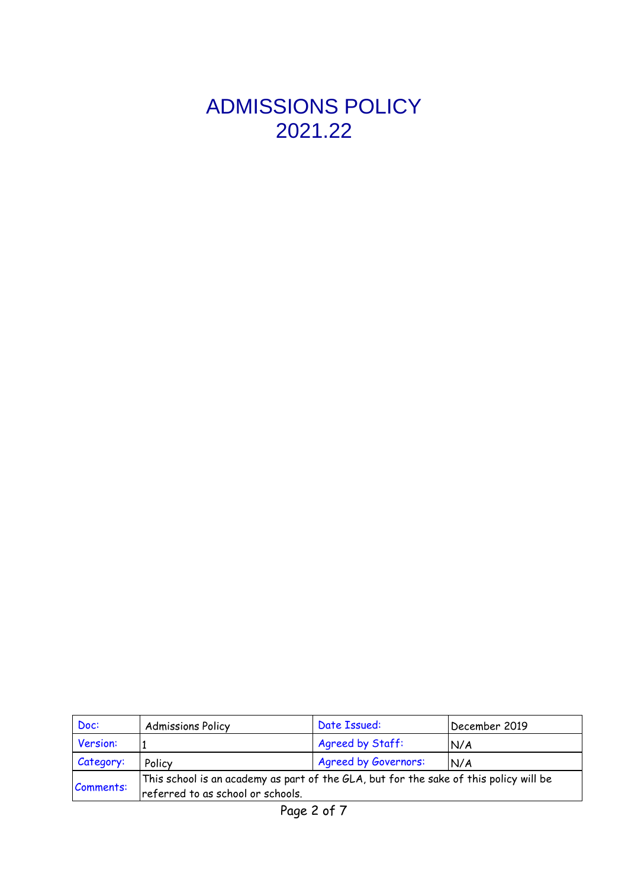## ADMISSIONS POLICY 2021.22

| Doc:      | <b>Admissions Policy</b>                                                                                                   | Date Issued:                | December 2019 |
|-----------|----------------------------------------------------------------------------------------------------------------------------|-----------------------------|---------------|
| Version:  |                                                                                                                            | Agreed by Staff:            | N/A           |
| Category: | Policy                                                                                                                     | <b>Agreed by Governors:</b> | N/A           |
| Comments: | This school is an academy as part of the GLA, but for the sake of this policy will be<br>referred to as school or schools. |                             |               |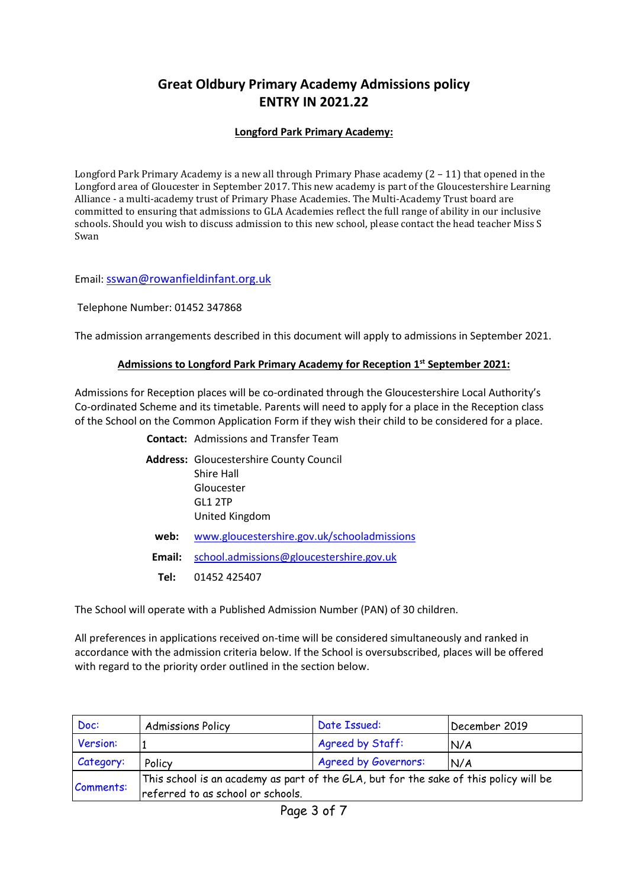### **Great Oldbury Primary Academy Admissions policy ENTRY IN 2021.22**

#### **Longford Park Primary Academy:**

Longford Park Primary Academy is a new all through Primary Phase academy (2 – 11) that opened in the Longford area of Gloucester in September 2017. This new academy is part of the Gloucestershire Learning Alliance - a multi-academy trust of Primary Phase Academies. The Multi-Academy Trust board are committed to ensuring that admissions to GLA Academies reflect the full range of ability in our inclusive schools. Should you wish to discuss admission to this new school, please contact the head teacher Miss S Swan

Email: [sswan@rowanfieldinfant.org.uk](mailto:sswan@rowanfieldinfant.org.uk)

Telephone Number: 01452 347868

The admission arrangements described in this document will apply to admissions in September 2021.

#### **Admissions to Longford Park Primary Academy for Reception 1 st September 2021:**

Admissions for Reception places will be co-ordinated through the Gloucestershire Local Authority's Co-ordinated Scheme and its timetable. Parents will need to apply for a place in the Reception class of the School on the Common Application Form if they wish their child to be considered for a place.

|        | <b>Contact:</b> Admissions and Transfer Team                                                            |  |
|--------|---------------------------------------------------------------------------------------------------------|--|
|        | <b>Address:</b> Gloucestershire County Council<br>Shire Hall<br>Gloucester<br>GL1 2TP<br>United Kingdom |  |
| web:   | www.gloucestershire.gov.uk/schooladmissions                                                             |  |
| Email: | school.admissions@gloucestershire.gov.uk                                                                |  |
| Tel:   | 01452 425407                                                                                            |  |

The School will operate with a Published Admission Number (PAN) of 30 children.

All preferences in applications received on-time will be considered simultaneously and ranked in accordance with the admission criteria below. If the School is oversubscribed, places will be offered with regard to the priority order outlined in the section below.

| Doc:      | <b>Admissions Policy</b>                                                                                                   | Date Issued:                | December 2019 |
|-----------|----------------------------------------------------------------------------------------------------------------------------|-----------------------------|---------------|
| Version:  |                                                                                                                            | Agreed by Staff:            | N/A           |
| Category: | Policy                                                                                                                     | <b>Agreed by Governors:</b> | N/A           |
| Comments: | This school is an academy as part of the GLA, but for the sake of this policy will be<br>referred to as school or schools. |                             |               |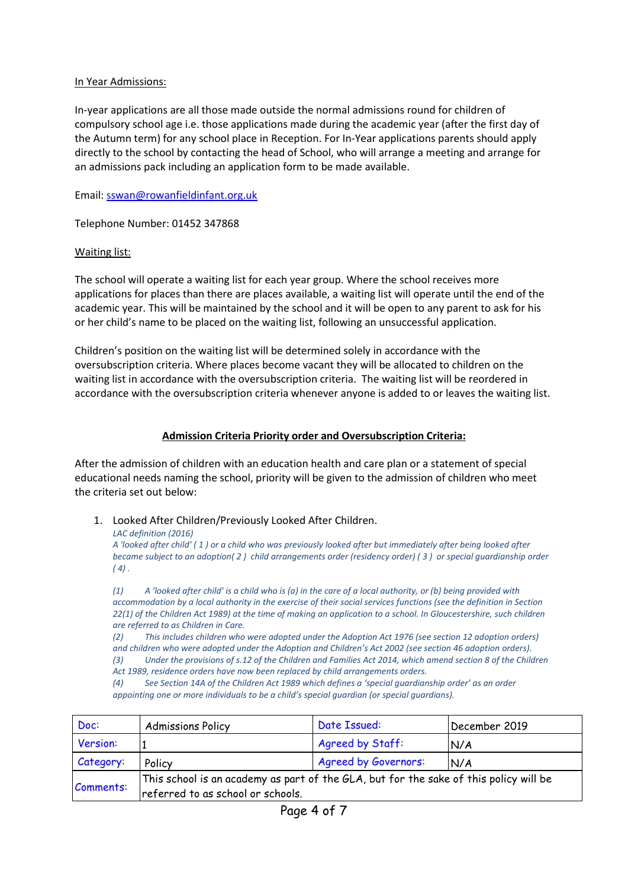#### In Year Admissions:

In-year applications are all those made outside the normal admissions round for children of compulsory school age i.e. those applications made during the academic year (after the first day of the Autumn term) for any school place in Reception. For In-Year applications parents should apply directly to the school by contacting the head of School, who will arrange a meeting and arrange for an admissions pack including an application form to be made available.

Email: [sswan@rowanfieldinfant.org.uk](mailto:sswan@rowanfieldinfant.org.uk)

Telephone Number: 01452 347868

#### Waiting list:

The school will operate a waiting list for each year group. Where the school receives more applications for places than there are places available, a waiting list will operate until the end of the academic year. This will be maintained by the school and it will be open to any parent to ask for his or her child's name to be placed on the waiting list, following an unsuccessful application.

Children's position on the waiting list will be determined solely in accordance with the oversubscription criteria. Where places become vacant they will be allocated to children on the waiting list in accordance with the oversubscription criteria. The waiting list will be reordered in accordance with the oversubscription criteria whenever anyone is added to or leaves the waiting list.

#### **Admission Criteria Priority order and Oversubscription Criteria:**

After the admission of children with an education health and care plan or a statement of special educational needs naming the school, priority will be given to the admission of children who meet the criteria set out below:

#### 1. Looked After Children/Previously Looked After Children.

*LAC definition (2016)*

A 'looked after child' (1) or a child who was previously looked after but immediately after being looked after became subject to an adoption(2) child arrangements order (residency order) (3) or special guardianship order  $(4)$ .

 $(1)$  A 'looked after child' is a child who is (a) in the care of a local authority, or (b) being provided with accommodation by a local authority in the exercise of their social services functions (see the definition in Section 22(1) of the Children Act 1989) at the time of making an application to a school. In Gloucestershire, such children *are referred to as Children in Care.*

*(2) This includes children who were adopted under the Adoption Act 1976 (see section 12 adoption orders)* and children who were adopted under the Adoption and Children's Act 2002 (see section 46 adoption orders).

(3) Under the provisions of s.12 of the Children and Families Act 2014, which amend section 8 of the Children *Act 1989, residence orders have now been replaced by child arrangements orders.*

*(4) See Section 14A of the Children Act 1989 which defines a 'special guardianship order' as an order appointing one or more individuals to be a child's special guardian (or special guardians).*

| Doc:      | <b>Admissions Policy</b>                                                                                                   | Date Issued:                | December 2019 |
|-----------|----------------------------------------------------------------------------------------------------------------------------|-----------------------------|---------------|
| Version:  |                                                                                                                            | Agreed by Staff:            | N/A           |
| Category: | Policy                                                                                                                     | <b>Agreed by Governors:</b> | N/A           |
| Comments: | This school is an academy as part of the GLA, but for the sake of this policy will be<br>referred to as school or schools. |                             |               |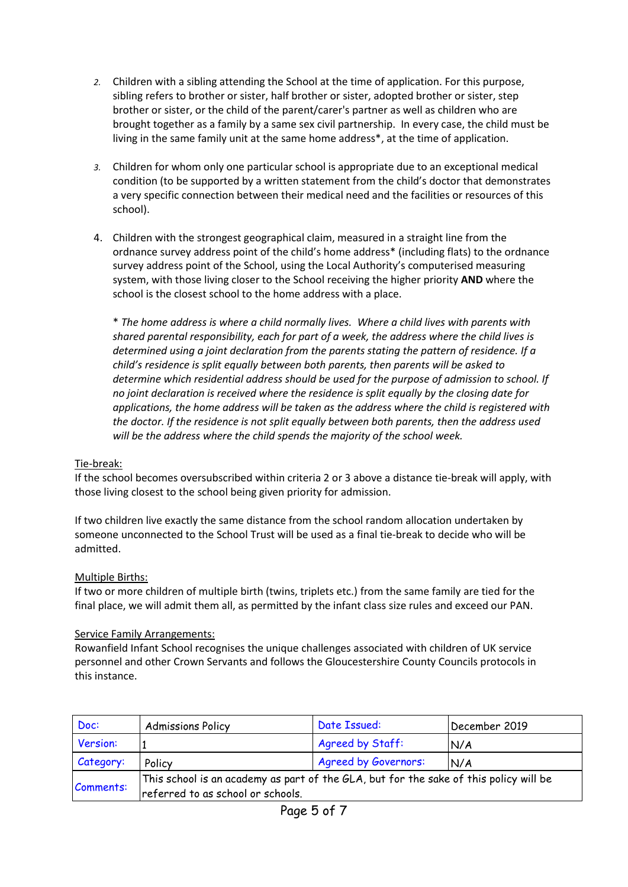- *2.* Children with a sibling attending the School at the time of application. For this purpose, sibling refers to brother or sister, half brother or sister, adopted brother or sister, step brother or sister, or the child of the parent/carer's partner as well as children who are brought together as a family by a same sex civil partnership. In every case, the child must be living in the same family unit at the same home address\*, at the time of application.
- *3.* Children for whom only one particular school is appropriate due to an exceptional medical condition (to be supported by a written statement from the child's doctor that demonstrates a very specific connection between their medical need and the facilities or resources of this school).
- 4. Children with the strongest geographical claim, measured in a straight line from the ordnance survey address point of the child's home address\* (including flats) to the ordnance survey address point of the School, using the Local Authority's computerised measuring system, with those living closer to the School receiving the higher priority **AND** where the school is the closest school to the home address with a place.

\* *The home address is where a child normally lives. Where a child lives with parents with shared parental responsibility, each for part of a week, the address where the child lives is determined using a joint declaration from the parents stating the pattern of residence. If a child's residence is split equally between both parents, then parents will be asked to determine which residential address should be used for the purpose of admission to school. If no joint declaration is received where the residence is split equally by the closing date for applications, the home address will be taken as the address where the child is registered with the doctor. If the residence is not split equally between both parents, then the address used will be the address where the child spends the majority of the school week.*

#### Tie-break:

If the school becomes oversubscribed within criteria 2 or 3 above a distance tie-break will apply, with those living closest to the school being given priority for admission.

If two children live exactly the same distance from the school random allocation undertaken by someone unconnected to the School Trust will be used as a final tie-break to decide who will be admitted.

#### Multiple Births:

If two or more children of multiple birth (twins, triplets etc.) from the same family are tied for the final place, we will admit them all, as permitted by the infant class size rules and exceed our PAN.

#### Service Family Arrangements:

Rowanfield Infant School recognises the unique challenges associated with children of UK service personnel and other Crown Servants and follows the Gloucestershire County Councils protocols in this instance.

| Doc:      | <b>Admissions Policy</b>                                                                                                   | Date Issued:                | December 2019 |
|-----------|----------------------------------------------------------------------------------------------------------------------------|-----------------------------|---------------|
| Version:  |                                                                                                                            | Agreed by Staff:            | N/A           |
| Category: | Policy                                                                                                                     | <b>Agreed by Governors:</b> | N/A           |
| Comments: | This school is an academy as part of the GLA, but for the sake of this policy will be<br>referred to as school or schools. |                             |               |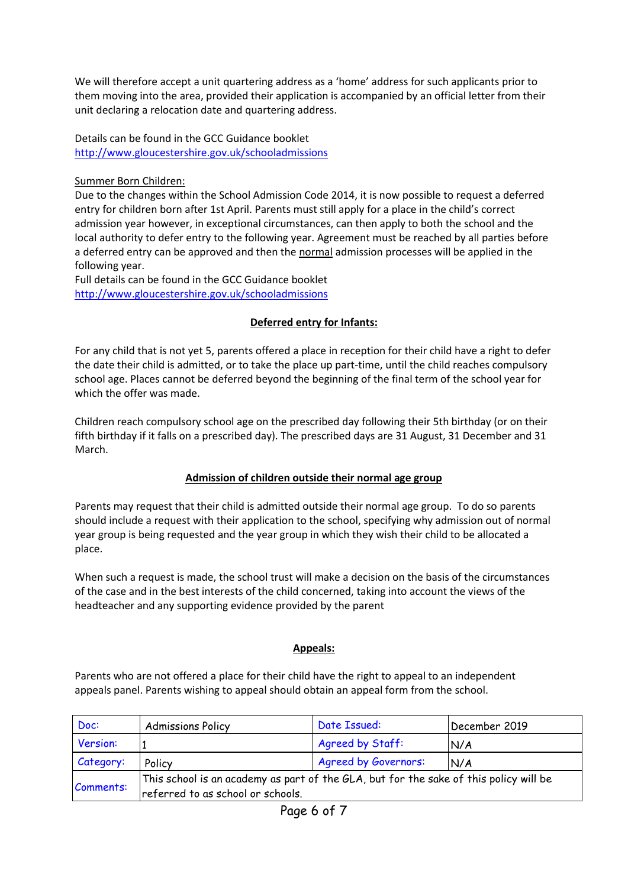We will therefore accept a unit quartering address as a 'home' address for such applicants prior to them moving into the area, provided their application is accompanied by an official letter from their unit declaring a relocation date and quartering address.

Details can be found in the GCC Guidance booklet <http://www.gloucestershire.gov.uk/schooladmissions>

#### Summer Born Children:

Due to the changes within the School Admission Code 2014, it is now possible to request a deferred entry for children born after 1st April. Parents must still apply for a place in the child's correct admission year however, in exceptional circumstances, can then apply to both the school and the local authority to defer entry to the following year. Agreement must be reached by all parties before a deferred entry can be approved and then the normal admission processes will be applied in the following year.

Full details can be found in the GCC Guidance booklet <http://www.gloucestershire.gov.uk/schooladmissions>

#### **Deferred entry for Infants:**

For any child that is not yet 5, parents offered a place in reception for their child have a right to defer the date their child is admitted, or to take the place up part-time, until the child reaches compulsory school age. Places cannot be deferred beyond the beginning of the final term of the school year for which the offer was made.

Children reach compulsory school age on the prescribed day following their 5th birthday (or on their fifth birthday if it falls on a prescribed day). The prescribed days are 31 August, 31 December and 31 March.

#### **Admission of children outside their normal age group**

Parents may request that their child is admitted outside their normal age group. To do so parents should include a request with their application to the school, specifying why admission out of normal year group is being requested and the year group in which they wish their child to be allocated a place.

When such a request is made, the school trust will make a decision on the basis of the circumstances of the case and in the best interests of the child concerned, taking into account the views of the headteacher and any supporting evidence provided by the parent

#### **Appeals:**

Parents who are not offered a place for their child have the right to appeal to an independent appeals panel. Parents wishing to appeal should obtain an appeal form from the school.

| Doc:      | <b>Admissions Policy</b>                                                                                                   | Date Issued:                | December 2019 |
|-----------|----------------------------------------------------------------------------------------------------------------------------|-----------------------------|---------------|
| Version:  |                                                                                                                            | Agreed by Staff:            | N/A           |
| Category: | Policy                                                                                                                     | <b>Agreed by Governors:</b> | N/A           |
| Comments: | This school is an academy as part of the GLA, but for the sake of this policy will be<br>referred to as school or schools. |                             |               |